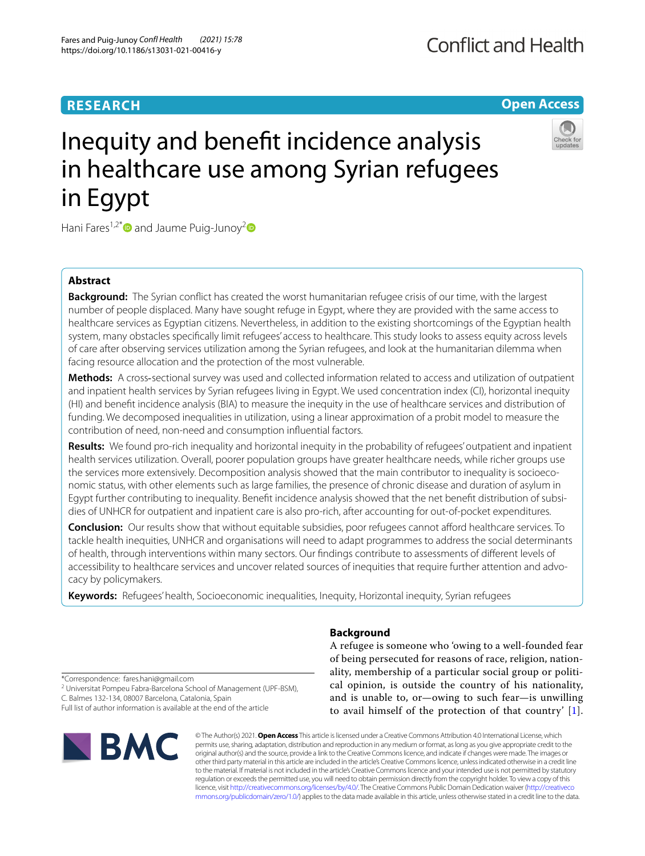# **RESEARCH**

# **Open Access**



# Inequity and beneft incidence analysis in healthcare use among Syrian refugees in Egypt

Hani Fares<sup>1,2[\\*](http://orcid.org/0000-0001-7085-8457)</sup> and Jaume Puig-Junoy<sup>[2](http://orcid.org/0000-0003-1695-3108)</sup>

# **Abstract**

**Background:** The Syrian confict has created the worst humanitarian refugee crisis of our time, with the largest number of people displaced. Many have sought refuge in Egypt, where they are provided with the same access to healthcare services as Egyptian citizens. Nevertheless, in addition to the existing shortcomings of the Egyptian health system, many obstacles specifcally limit refugees' access to healthcare. This study looks to assess equity across levels of care after observing services utilization among the Syrian refugees, and look at the humanitarian dilemma when facing resource allocation and the protection of the most vulnerable.

**Methods:** A cross-sectional survey was used and collected information related to access and utilization of outpatient and inpatient health services by Syrian refugees living in Egypt. We used concentration index (CI), horizontal inequity (HI) and beneft incidence analysis (BIA) to measure the inequity in the use of healthcare services and distribution of funding. We decomposed inequalities in utilization, using a linear approximation of a probit model to measure the contribution of need, non-need and consumption infuential factors.

**Results:** We found pro-rich inequality and horizontal inequity in the probability of refugees' outpatient and inpatient health services utilization. Overall, poorer population groups have greater healthcare needs, while richer groups use the services more extensively. Decomposition analysis showed that the main contributor to inequality is socioeconomic status, with other elements such as large families, the presence of chronic disease and duration of asylum in Egypt further contributing to inequality. Beneft incidence analysis showed that the net beneft distribution of subsi‑ dies of UNHCR for outpatient and inpatient care is also pro-rich, after accounting for out-of-pocket expenditures.

**Conclusion:** Our results show that without equitable subsidies, poor refugees cannot aford healthcare services. To tackle health inequities, UNHCR and organisations will need to adapt programmes to address the social determinants of health, through interventions within many sectors. Our fndings contribute to assessments of diferent levels of accessibility to healthcare services and uncover related sources of inequities that require further attention and advocacy by policymakers.

**Keywords:** Refugees' health, Socioeconomic inequalities, Inequity, Horizontal inequity, Syrian refugees

# **Background**

A refugee is someone who 'owing to a well-founded fear of being persecuted for reasons of race, religion, nationality, membership of a particular social group or political opinion, is outside the country of his nationality, and is unable to, or—owing to such fear—is unwilling to avail himself of the protection of that country' [[1](#page-11-0)].

\*Correspondence: fares.hani@gmail.com

<sup>2</sup> Universitat Pompeu Fabra-Barcelona School of Management (UPF-BSM), C. Balmes 132‑134, 08007 Barcelona, Catalonia, Spain

Full list of author information is available at the end of the article



© The Author(s) 2021. **Open Access** This article is licensed under a Creative Commons Attribution 4.0 International License, which permits use, sharing, adaptation, distribution and reproduction in any medium or format, as long as you give appropriate credit to the original author(s) and the source, provide a link to the Creative Commons licence, and indicate if changes were made. The images or other third party material in this article are included in the article's Creative Commons licence, unless indicated otherwise in a credit line to the material. If material is not included in the article's Creative Commons licence and your intended use is not permitted by statutory regulation or exceeds the permitted use, you will need to obtain permission directly from the copyright holder. To view a copy of this licence, visit [http://creativecommons.org/licenses/by/4.0/.](http://creativecommons.org/licenses/by/4.0/) The Creative Commons Public Domain Dedication waiver ([http://creativeco](http://creativecommons.org/publicdomain/zero/1.0/) [mmons.org/publicdomain/zero/1.0/](http://creativecommons.org/publicdomain/zero/1.0/)) applies to the data made available in this article, unless otherwise stated in a credit line to the data.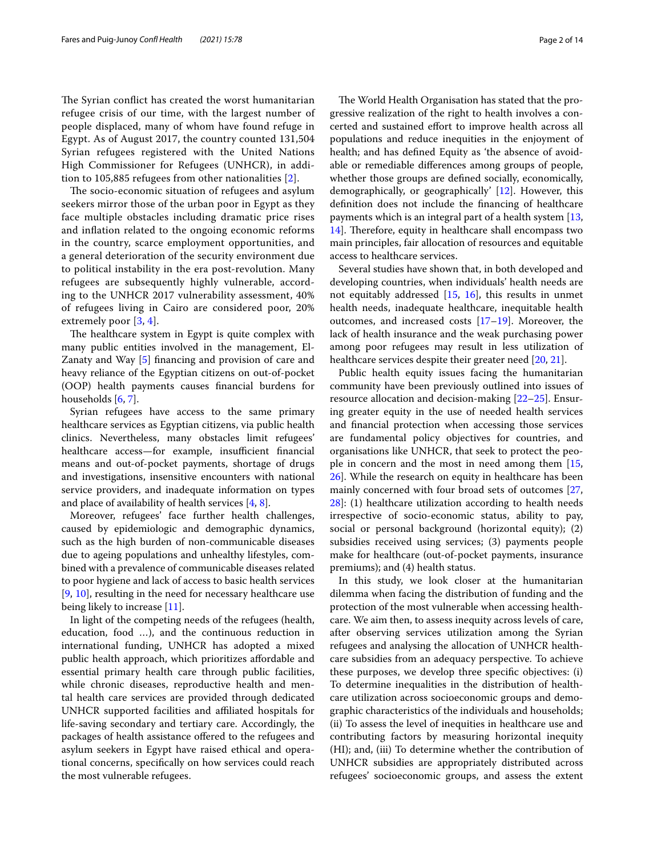The Syrian conflict has created the worst humanitarian refugee crisis of our time, with the largest number of people displaced, many of whom have found refuge in Egypt. As of August 2017, the country counted 131,504 Syrian refugees registered with the United Nations High Commissioner for Refugees (UNHCR), in addition to 105,885 refugees from other nationalities [[2\]](#page-11-1).

The socio-economic situation of refugees and asylum seekers mirror those of the urban poor in Egypt as they face multiple obstacles including dramatic price rises and infation related to the ongoing economic reforms in the country, scarce employment opportunities, and a general deterioration of the security environment due to political instability in the era post-revolution. Many refugees are subsequently highly vulnerable, according to the UNHCR 2017 vulnerability assessment, 40% of refugees living in Cairo are considered poor, 20% extremely poor [\[3](#page-11-2), [4](#page-11-3)].

The healthcare system in Egypt is quite complex with many public entities involved in the management, El-Zanaty and Way [\[5](#page-11-4)] fnancing and provision of care and heavy reliance of the Egyptian citizens on out-of-pocket (OOP) health payments causes fnancial burdens for households [[6,](#page-12-0) [7\]](#page-12-1).

Syrian refugees have access to the same primary healthcare services as Egyptian citizens, via public health clinics. Nevertheless, many obstacles limit refugees' healthcare access—for example, insufficient financial means and out-of-pocket payments, shortage of drugs and investigations, insensitive encounters with national service providers, and inadequate information on types and place of availability of health services [\[4](#page-11-3), [8\]](#page-12-2).

Moreover, refugees' face further health challenges, caused by epidemiologic and demographic dynamics, such as the high burden of non-communicable diseases due to ageing populations and unhealthy lifestyles, combined with a prevalence of communicable diseases related to poor hygiene and lack of access to basic health services [[9,](#page-12-3) [10\]](#page-12-4), resulting in the need for necessary healthcare use being likely to increase [\[11\]](#page-12-5).

In light of the competing needs of the refugees (health, education, food …), and the continuous reduction in international funding, UNHCR has adopted a mixed public health approach, which prioritizes affordable and essential primary health care through public facilities, while chronic diseases, reproductive health and mental health care services are provided through dedicated UNHCR supported facilities and afliated hospitals for life-saving secondary and tertiary care. Accordingly, the packages of health assistance offered to the refugees and asylum seekers in Egypt have raised ethical and operational concerns, specifcally on how services could reach the most vulnerable refugees.

The World Health Organisation has stated that the progressive realization of the right to health involves a concerted and sustained effort to improve health across all populations and reduce inequities in the enjoyment of health; and has defned Equity as 'the absence of avoidable or remediable diferences among groups of people, whether those groups are defned socially, economically, demographically, or geographically' [\[12\]](#page-12-6). However, this defnition does not include the fnancing of healthcare payments which is an integral part of a health system [[13](#page-12-7), [14\]](#page-12-8). Therefore, equity in healthcare shall encompass two main principles, fair allocation of resources and equitable access to healthcare services.

Several studies have shown that, in both developed and developing countries, when individuals' health needs are not equitably addressed [[15,](#page-12-9) [16](#page-12-10)], this results in unmet health needs, inadequate healthcare, inequitable health outcomes, and increased costs [\[17](#page-12-11)[–19\]](#page-12-12). Moreover, the lack of health insurance and the weak purchasing power among poor refugees may result in less utilization of healthcare services despite their greater need [\[20,](#page-12-13) [21](#page-12-14)].

Public health equity issues facing the humanitarian community have been previously outlined into issues of resource allocation and decision-making [[22](#page-12-15)[–25](#page-12-16)]. Ensuring greater equity in the use of needed health services and fnancial protection when accessing those services are fundamental policy objectives for countries, and organisations like UNHCR, that seek to protect the people in concern and the most in need among them [[15](#page-12-9), [26\]](#page-12-17). While the research on equity in healthcare has been mainly concerned with four broad sets of outcomes [[27](#page-12-18), [28\]](#page-12-19): (1) healthcare utilization according to health needs irrespective of socio-economic status, ability to pay, social or personal background (horizontal equity); (2) subsidies received using services; (3) payments people make for healthcare (out-of-pocket payments, insurance premiums); and (4) health status.

In this study, we look closer at the humanitarian dilemma when facing the distribution of funding and the protection of the most vulnerable when accessing healthcare. We aim then, to assess inequity across levels of care, after observing services utilization among the Syrian refugees and analysing the allocation of UNHCR healthcare subsidies from an adequacy perspective. To achieve these purposes, we develop three specifc objectives: (i) To determine inequalities in the distribution of healthcare utilization across socioeconomic groups and demographic characteristics of the individuals and households; (ii) To assess the level of inequities in healthcare use and contributing factors by measuring horizontal inequity (HI); and, (iii) To determine whether the contribution of UNHCR subsidies are appropriately distributed across refugees' socioeconomic groups, and assess the extent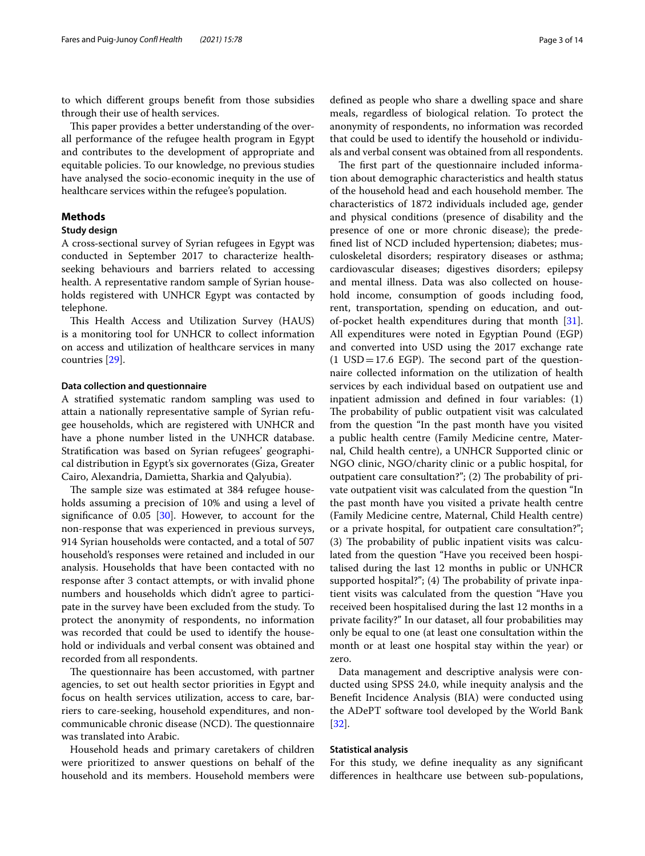to which diferent groups beneft from those subsidies through their use of health services.

This paper provides a better understanding of the overall performance of the refugee health program in Egypt and contributes to the development of appropriate and equitable policies. To our knowledge, no previous studies have analysed the socio-economic inequity in the use of healthcare services within the refugee's population.

# **Methods**

# **Study design**

A cross‐sectional survey of Syrian refugees in Egypt was conducted in September 2017 to characterize health‐ seeking behaviours and barriers related to accessing health. A representative random sample of Syrian households registered with UNHCR Egypt was contacted by telephone.

This Health Access and Utilization Survey (HAUS) is a monitoring tool for UNHCR to collect information on access and utilization of healthcare services in many countries [\[29](#page-12-20)].

## **Data collection and questionnaire**

A stratifed systematic random sampling was used to attain a nationally representative sample of Syrian refugee households, which are registered with UNHCR and have a phone number listed in the UNHCR database. Stratifcation was based on Syrian refugees' geographical distribution in Egypt's six governorates (Giza, Greater Cairo, Alexandria, Damietta, Sharkia and Qalyubia).

The sample size was estimated at 384 refugee households assuming a precision of 10% and using a level of signifcance of 0.05 [\[30](#page-12-21)]. However, to account for the non-response that was experienced in previous surveys, 914 Syrian households were contacted, and a total of 507 household's responses were retained and included in our analysis. Households that have been contacted with no response after 3 contact attempts, or with invalid phone numbers and households which didn't agree to participate in the survey have been excluded from the study. To protect the anonymity of respondents, no information was recorded that could be used to identify the household or individuals and verbal consent was obtained and recorded from all respondents.

The questionnaire has been accustomed, with partner agencies, to set out health sector priorities in Egypt and focus on health services utilization, access to care, barriers to care-seeking, household expenditures, and noncommunicable chronic disease (NCD). The questionnaire was translated into Arabic.

Household heads and primary caretakers of children were prioritized to answer questions on behalf of the household and its members. Household members were defned as people who share a dwelling space and share meals, regardless of biological relation. To protect the anonymity of respondents, no information was recorded that could be used to identify the household or individuals and verbal consent was obtained from all respondents.

The first part of the questionnaire included information about demographic characteristics and health status of the household head and each household member. The characteristics of 1872 individuals included age, gender and physical conditions (presence of disability and the presence of one or more chronic disease); the predefned list of NCD included hypertension; diabetes; musculoskeletal disorders; respiratory diseases or asthma; cardiovascular diseases; digestives disorders; epilepsy and mental illness. Data was also collected on household income, consumption of goods including food, rent, transportation, spending on education, and outof-pocket health expenditures during that month [\[31](#page-12-22)]. All expenditures were noted in Egyptian Pound (EGP) and converted into USD using the 2017 exchange rate  $(1 \text{ USD} = 17.6 \text{ EGP})$ . The second part of the questionnaire collected information on the utilization of health services by each individual based on outpatient use and inpatient admission and defned in four variables: (1) The probability of public outpatient visit was calculated from the question "In the past month have you visited a public health centre (Family Medicine centre, Maternal, Child health centre), a UNHCR Supported clinic or NGO clinic, NGO/charity clinic or a public hospital, for outpatient care consultation?"; (2) The probability of private outpatient visit was calculated from the question "In the past month have you visited a private health centre (Family Medicine centre, Maternal, Child Health centre) or a private hospital, for outpatient care consultation?";  $(3)$  The probability of public inpatient visits was calculated from the question "Have you received been hospitalised during the last 12 months in public or UNHCR supported hospital?";  $(4)$  The probability of private inpatient visits was calculated from the question "Have you received been hospitalised during the last 12 months in a private facility?" In our dataset, all four probabilities may only be equal to one (at least one consultation within the month or at least one hospital stay within the year) or zero.

Data management and descriptive analysis were conducted using SPSS 24.0, while inequity analysis and the Beneft Incidence Analysis (BIA) were conducted using the ADePT software tool developed by the World Bank [[32\]](#page-12-23).

# **Statistical analysis**

For this study, we defne inequality as any signifcant diferences in healthcare use between sub-populations,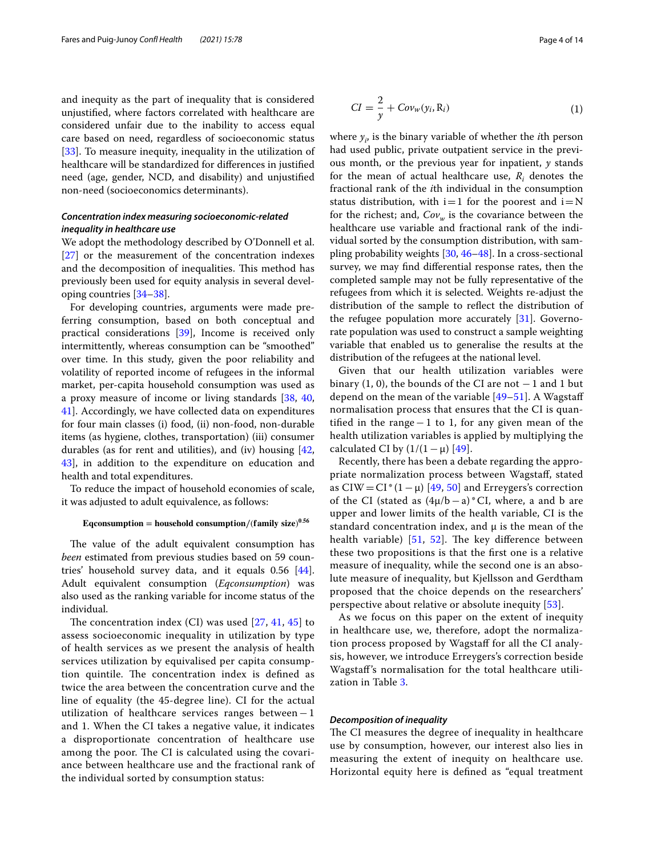and inequity as the part of inequality that is considered unjustifed, where factors correlated with healthcare are considered unfair due to the inability to access equal care based on need, regardless of socioeconomic status [[33\]](#page-12-24). To measure inequity, inequality in the utilization of healthcare will be standardized for diferences in justifed need (age, gender, NCD, and disability) and unjustifed non-need (socioeconomics determinants).

# *Concentration index measuring socioeconomic‑related inequality in healthcare use*

We adopt the methodology described by O'Donnell et al. [[27\]](#page-12-18) or the measurement of the concentration indexes and the decomposition of inequalities. This method has previously been used for equity analysis in several developing countries [[34–](#page-12-25)[38\]](#page-12-26).

For developing countries, arguments were made preferring consumption, based on both conceptual and practical considerations [\[39](#page-12-27)], Income is received only intermittently, whereas consumption can be "smoothed" over time. In this study, given the poor reliability and volatility of reported income of refugees in the informal market, per-capita household consumption was used as a proxy measure of income or living standards [[38](#page-12-26), [40](#page-12-28), [41\]](#page-12-29). Accordingly, we have collected data on expenditures for four main classes (i) food, (ii) non-food, non-durable items (as hygiene, clothes, transportation) (iii) consumer durables (as for rent and utilities), and (iv) housing  $[42, 42]$  $[42, 42]$ [43\]](#page-12-31), in addition to the expenditure on education and health and total expenditures.

To reduce the impact of household economies of scale, it was adjusted to adult equivalence, as follows:

# **Eqconsumption**/(family size)<sup>0.56</sup>

The value of the adult equivalent consumption has *been* estimated from previous studies based on 59 countries' household survey data, and it equals 0.56 [\[44](#page-12-32)]. Adult equivalent consumption (*Eqconsumption*) was also used as the ranking variable for income status of the individual.

The concentration index  $(Cl)$  was used  $[27, 41, 45]$  $[27, 41, 45]$  $[27, 41, 45]$  $[27, 41, 45]$  $[27, 41, 45]$  to assess socioeconomic inequality in utilization by type of health services as we present the analysis of health services utilization by equivalised per capita consumption quintile. The concentration index is defined as twice the area between the concentration curve and the line of equality (the 45-degree line). CI for the actual utilization of healthcare services ranges between−1 and 1. When the CI takes a negative value, it indicates a disproportionate concentration of healthcare use among the poor. The CI is calculated using the covariance between healthcare use and the fractional rank of the individual sorted by consumption status:

<span id="page-3-0"></span>where *yi* , is the binary variable of whether the *i*th person had used public, private outpatient service in the previous month, or the previous year for inpatient, *y* stands for the mean of actual healthcare use,  $R_i$  denotes the fractional rank of the *i*th individual in the consumption status distribution, with  $i=1$  for the poorest and  $i=N$ for the richest; and,  $Cov_w$  is the covariance between the healthcare use variable and fractional rank of the individual sorted by the consumption distribution, with sampling probability weights [\[30](#page-12-21), [46–](#page-12-34)[48](#page-12-35)]. In a cross-sectional survey, we may fnd diferential response rates, then the completed sample may not be fully representative of the refugees from which it is selected. Weights re-adjust the distribution of the sample to refect the distribution of the refugee population more accurately  $[31]$  $[31]$  $[31]$ . Governorate population was used to construct a sample weighting variable that enabled us to generalise the results at the distribution of the refugees at the national level.

Given that our health utilization variables were binary  $(1, 0)$ , the bounds of the CI are not  $-1$  and 1 but depend on the mean of the variable [\[49](#page-12-36)[–51](#page-12-37)]. A Wagstaf normalisation process that ensures that the CI is quantifed in the range−1 to 1, for any given mean of the health utilization variables is applied by multiplying the calculated CI by  $(1/(1 - \mu)$  [[49\]](#page-12-36).

Recently, there has been a debate regarding the appropriate normalization process between Wagstaf, stated as CIW = CI\*(1 –  $\mu$ ) [[49,](#page-12-36) [50\]](#page-12-38) and Erreygers's correction of the CI (stated as  $(4\mu/b-a)*$ CI, where, a and b are upper and lower limits of the health variable, CI is the standard concentration index, and  $\mu$  is the mean of the health variable)  $[51, 52]$  $[51, 52]$  $[51, 52]$  $[51, 52]$ . The key difference between these two propositions is that the frst one is a relative measure of inequality, while the second one is an absolute measure of inequality, but Kjellsson and Gerdtham proposed that the choice depends on the researchers' perspective about relative or absolute inequity [\[53](#page-12-40)].

As we focus on this paper on the extent of inequity in healthcare use, we, therefore, adopt the normalization process proposed by Wagstaff for all the CI analysis, however, we introduce Erreygers's correction beside Wagstaf's normalisation for the total healthcare utilization in Table [3.](#page-8-0)

# *Decomposition of inequality*

The CI measures the degree of inequality in healthcare use by consumption, however, our interest also lies in measuring the extent of inequity on healthcare use. Horizontal equity here is defned as "equal treatment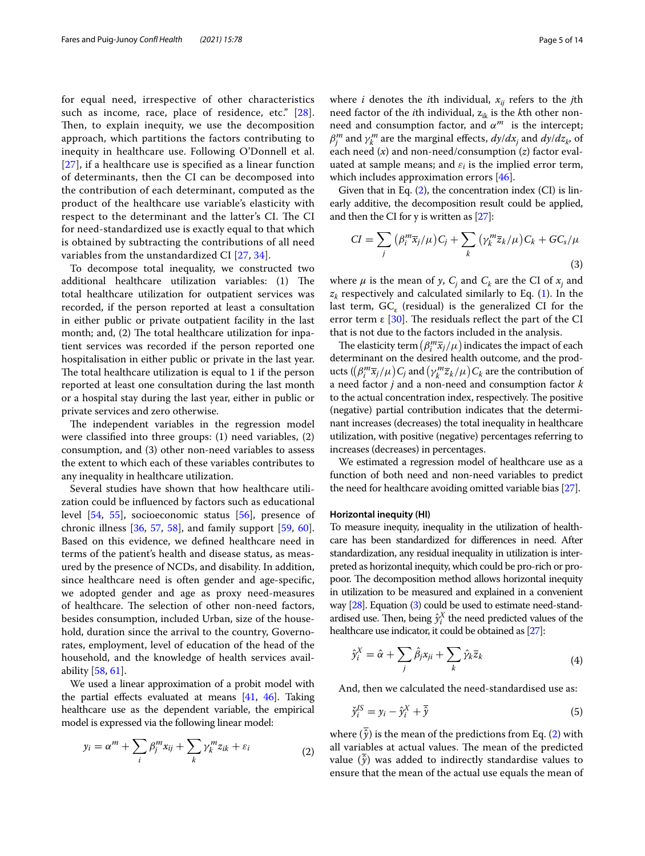for equal need, irrespective of other characteristics such as income, race, place of residence, etc." [[28](#page-12-19)]. Then, to explain inequity, we use the decomposition approach, which partitions the factors contributing to inequity in healthcare use. Following O'Donnell et al. [[27](#page-12-18)], if a healthcare use is specifed as a linear function of determinants, then the CI can be decomposed into the contribution of each determinant, computed as the product of the healthcare use variable's elasticity with respect to the determinant and the latter's CI. The CI for need-standardized use is exactly equal to that which is obtained by subtracting the contributions of all need variables from the unstandardized CI [[27,](#page-12-18) [34\]](#page-12-25).

To decompose total inequality, we constructed two additional healthcare utilization variables: (1) The total healthcare utilization for outpatient services was recorded, if the person reported at least a consultation in either public or private outpatient facility in the last month; and,  $(2)$  The total healthcare utilization for inpatient services was recorded if the person reported one hospitalisation in either public or private in the last year. The total healthcare utilization is equal to 1 if the person reported at least one consultation during the last month or a hospital stay during the last year, either in public or private services and zero otherwise.

The independent variables in the regression model were classifed into three groups: (1) need variables, (2) consumption, and (3) other non-need variables to assess the extent to which each of these variables contributes to any inequality in healthcare utilization.

Several studies have shown that how healthcare utilization could be infuenced by factors such as educational level [[54,](#page-12-41) [55\]](#page-12-42), socioeconomic status [[56](#page-12-43)], presence of chronic illness [\[36](#page-12-44), [57,](#page-13-0) [58](#page-13-1)], and family support [[59,](#page-13-2) [60](#page-13-3)]. Based on this evidence, we defned healthcare need in terms of the patient's health and disease status, as measured by the presence of NCDs, and disability. In addition, since healthcare need is often gender and age-specifc, we adopted gender and age as proxy need-measures of healthcare. The selection of other non-need factors, besides consumption, included Urban, size of the household, duration since the arrival to the country, Governorates, employment, level of education of the head of the household, and the knowledge of health services availability [\[58](#page-13-1), [61\]](#page-13-4).

We used a linear approximation of a probit model with the partial effects evaluated at means  $[41, 46]$  $[41, 46]$  $[41, 46]$ . Taking healthcare use as the dependent variable, the empirical model is expressed via the following linear model:

$$
y_i = \alpha^m + \sum_i \beta_j^m x_{ij} + \sum_k \gamma_k^m z_{ik} + \varepsilon_i \tag{2}
$$

where *i* denotes the *i*th individual,  $x_{ij}$  refers to the *j*th need factor of the *i*th individual,  $z_{ik}$  is the *k*th other nonneed and consumption factor, and  $\alpha^m$  is the intercept;  $\beta_j^m$  and  $\gamma_k^m$  are the marginal effects,  $dy/dx_j$  and  $dy/dz_k$ , of each need (*x*) and non-need/consumption (*z*) factor evaluated at sample means; and  $\varepsilon_i$  is the implied error term, which includes approximation errors [[46](#page-12-34)].

Given that in Eq. [\(2](#page-4-0)), the concentration index (CI) is linearly additive, the decomposition result could be applied, and then the CI for y is written as [\[27\]](#page-12-18):

<span id="page-4-1"></span>
$$
CI = \sum_{j} \left( \beta_i^m \overline{x}_j / \mu \right) C_j + \sum_{k} \left( \gamma_k^m \overline{z}_k / \mu \right) C_k + G C_s / \mu
$$
\n(3)

where  $\mu$  is the mean of y,  $C_j$  and  $C_k$  are the CI of  $x_j$  and  $z_k$  respectively and calculated similarly to Eq.  $(1)$  $(1)$ . In the last term,  $GC<sub>e</sub>$  (residual) is the generalized CI for the error term  $\epsilon$  [\[30](#page-12-21)]. The residuals reflect the part of the CI that is not due to the factors included in the analysis.

The elasticity term  $\left(\beta_i^m\overline{x}_j/\mu\right)$  indicates the impact of each determinant on the desired health outcome, and the products  $((\beta_i^m\overline{x}_j/\mu)C_j$  and  $\left(\gamma_k^m\overline{z}_k/\mu\right)C_k$  are the contribution of a need factor *j* and a non-need and consumption factor *k* to the actual concentration index, respectively. The positive (negative) partial contribution indicates that the determinant increases (decreases) the total inequality in healthcare utilization, with positive (negative) percentages referring to increases (decreases) in percentages.

We estimated a regression model of healthcare use as a function of both need and non-need variables to predict the need for healthcare avoiding omitted variable bias [\[27\]](#page-12-18).

# **Horizontal inequity (HI)**

To measure inequity, inequality in the utilization of healthcare has been standardized for diferences in need. After standardization, any residual inequality in utilization is interpreted as horizontal inequity, which could be pro-rich or propoor. The decomposition method allows horizontal inequity in utilization to be measured and explained in a convenient way [\[28](#page-12-19)]. Equation ([3](#page-4-1)) could be used to estimate need-standardised use. Then, being  $\hat{y}_i^X$  the need predicted values of the healthcare use indicator, it could be obtained as [\[27\]](#page-12-18):

$$
\hat{y}_i^X = \hat{\alpha} + \sum_j \hat{\beta}_j x_{ji} + \sum_k \hat{\gamma}_k \bar{z}_k
$$
\n(4)

And, then we calculated the need-standardised use as:

$$
\check{\gamma}_i^{IS} = y_i - \hat{\gamma}_i^X + \overline{\hat{\gamma}}
$$
\n<sup>(5)</sup>

<span id="page-4-0"></span>where  $(\hat{y})$  is the mean of the predictions from Eq. ([2\)](#page-4-0) with all variables at actual values. The mean of the predicted value  $(\hat{y})$  was added to indirectly standardise values to ensure that the mean of the actual use equals the mean of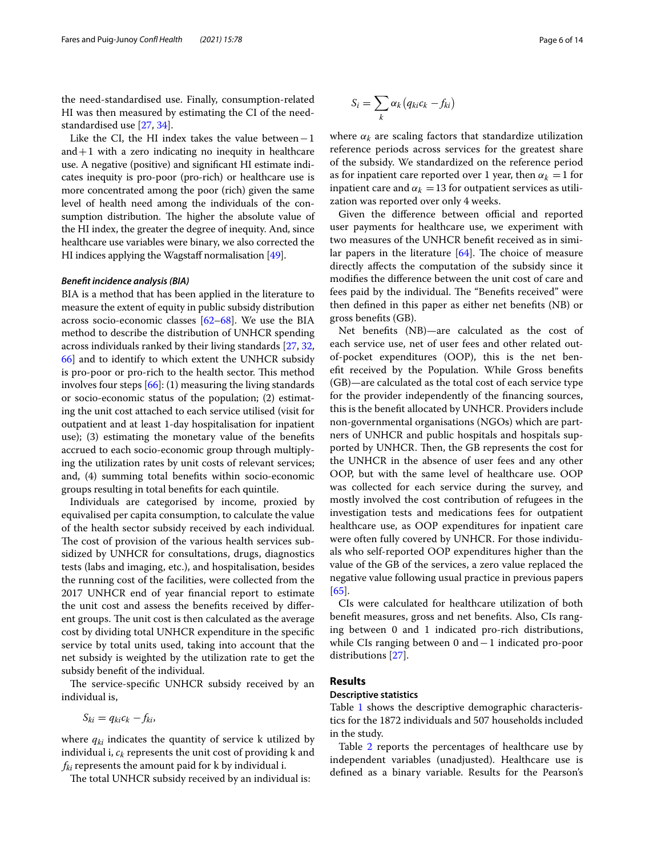the need-standardised use. Finally, consumption-related HI was then measured by estimating the CI of the needstandardised use [\[27](#page-12-18), [34\]](#page-12-25).

Like the CI, the HI index takes the value between $−1$ and  $+1$  with a zero indicating no inequity in healthcare use. A negative (positive) and signifcant HI estimate indicates inequity is pro-poor (pro-rich) or healthcare use is more concentrated among the poor (rich) given the same level of health need among the individuals of the consumption distribution. The higher the absolute value of the HI index, the greater the degree of inequity. And, since healthcare use variables were binary, we also corrected the HI indices applying the Wagstaff normalisation  $[49]$  $[49]$ .

## *Beneft incidence analysis (BIA)*

BIA is a method that has been applied in the literature to measure the extent of equity in public subsidy distribution across socio-economic classes  $[62-68]$  $[62-68]$  $[62-68]$ . We use the BIA method to describe the distribution of UNHCR spending across individuals ranked by their living standards [\[27](#page-12-18), [32](#page-12-23), [66](#page-13-7)] and to identify to which extent the UNHCR subsidy is pro-poor or pro-rich to the health sector. This method involves four steps  $[66]$  $[66]$ : (1) measuring the living standards or socio-economic status of the population; (2) estimating the unit cost attached to each service utilised (visit for outpatient and at least 1-day hospitalisation for inpatient use); (3) estimating the monetary value of the benefts accrued to each socio-economic group through multiplying the utilization rates by unit costs of relevant services; and, (4) summing total benefts within socio-economic groups resulting in total benefts for each quintile.

Individuals are categorised by income, proxied by equivalised per capita consumption, to calculate the value of the health sector subsidy received by each individual. The cost of provision of the various health services subsidized by UNHCR for consultations, drugs, diagnostics tests (labs and imaging, etc.), and hospitalisation, besides the running cost of the facilities, were collected from the 2017 UNHCR end of year fnancial report to estimate the unit cost and assess the benefts received by diferent groups. The unit cost is then calculated as the average cost by dividing total UNHCR expenditure in the specifc service by total units used, taking into account that the net subsidy is weighted by the utilization rate to get the subsidy beneft of the individual.

The service-specific UNHCR subsidy received by an individual is,

$$
S_{ki}=q_{ki}c_k-f_{ki},
$$

where  $q_{ki}$  indicates the quantity of service k utilized by individual i,  $c_k$  represents the unit cost of providing k and  $f_{ki}$  represents the amount paid for k by individual i.

The total UNHCR subsidy received by an individual is:

$$
S_i = \sum_k \alpha_k (q_{ki}c_k - f_{ki})
$$

where  $\alpha_k$  are scaling factors that standardize utilization reference periods across services for the greatest share of the subsidy. We standardized on the reference period as for inpatient care reported over 1 year, then  $\alpha_k = 1$  for inpatient care and  $\alpha_k = 13$  for outpatient services as utilization was reported over only 4 weeks.

Given the difference between official and reported user payments for healthcare use, we experiment with two measures of the UNHCR beneft received as in similar papers in the literature  $[64]$  $[64]$  $[64]$ . The choice of measure directly afects the computation of the subsidy since it modifes the diference between the unit cost of care and fees paid by the individual. The "Benefits received" were then defned in this paper as either net benefts (NB) or gross benefts (GB).

Net benefts (NB)—are calculated as the cost of each service use, net of user fees and other related outof-pocket expenditures (OOP), this is the net beneft received by the Population. While Gross benefts (GB)—are calculated as the total cost of each service type for the provider independently of the fnancing sources, this is the beneft allocated by UNHCR. Providers include non-governmental organisations (NGOs) which are partners of UNHCR and public hospitals and hospitals supported by UNHCR. Then, the GB represents the cost for the UNHCR in the absence of user fees and any other OOP, but with the same level of healthcare use. OOP was collected for each service during the survey, and mostly involved the cost contribution of refugees in the investigation tests and medications fees for outpatient healthcare use, as OOP expenditures for inpatient care were often fully covered by UNHCR. For those individuals who self-reported OOP expenditures higher than the value of the GB of the services, a zero value replaced the negative value following usual practice in previous papers [[65\]](#page-13-9).

CIs were calculated for healthcare utilization of both beneft measures, gross and net benefts. Also, CIs ranging between 0 and 1 indicated pro-rich distributions, while CIs ranging between 0 and−1 indicated pro-poor distributions [\[27](#page-12-18)].

## **Results**

# **Descriptive statistics**

Table [1](#page-6-0) shows the descriptive demographic characteristics for the 1872 individuals and 507 households included in the study.

Table [2](#page-7-0) reports the percentages of healthcare use by independent variables (unadjusted). Healthcare use is defned as a binary variable. Results for the Pearson's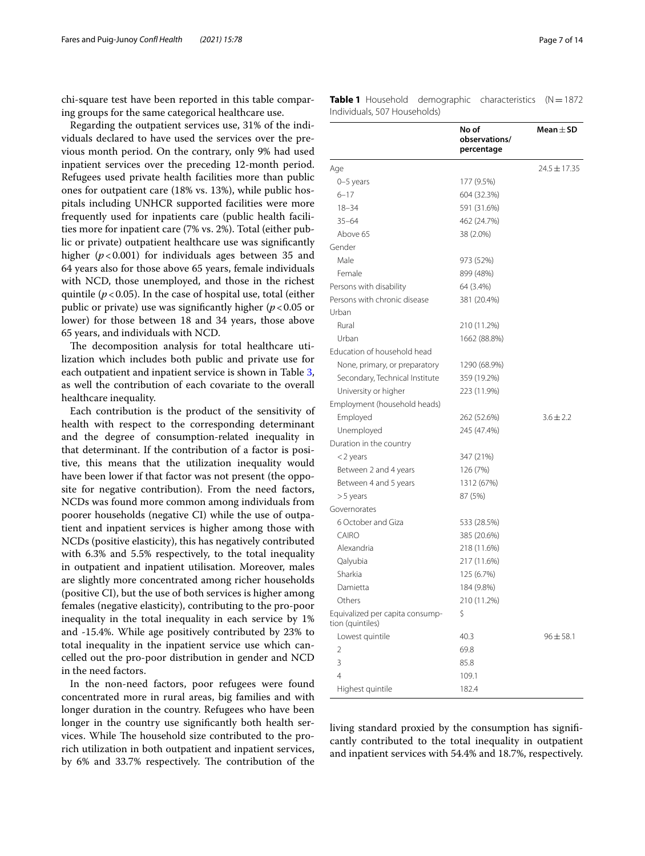chi-square test have been reported in this table comparing groups for the same categorical healthcare use.

Regarding the outpatient services use, 31% of the individuals declared to have used the services over the previous month period. On the contrary, only 9% had used inpatient services over the preceding 12-month period. Refugees used private health facilities more than public ones for outpatient care (18% vs. 13%), while public hospitals including UNHCR supported facilities were more frequently used for inpatients care (public health facilities more for inpatient care (7% vs. 2%). Total (either public or private) outpatient healthcare use was signifcantly higher (*p*<0.001) for individuals ages between 35 and 64 years also for those above 65 years, female individuals with NCD, those unemployed, and those in the richest quintile  $(p < 0.05)$ . In the case of hospital use, total (either public or private) use was significantly higher ( $p < 0.05$  or lower) for those between 18 and 34 years, those above 65 years, and individuals with NCD.

The decomposition analysis for total healthcare utilization which includes both public and private use for each outpatient and inpatient service is shown in Table [3](#page-8-0), as well the contribution of each covariate to the overall healthcare inequality.

Each contribution is the product of the sensitivity of health with respect to the corresponding determinant and the degree of consumption-related inequality in that determinant. If the contribution of a factor is positive, this means that the utilization inequality would have been lower if that factor was not present (the opposite for negative contribution). From the need factors, NCDs was found more common among individuals from poorer households (negative CI) while the use of outpatient and inpatient services is higher among those with NCDs (positive elasticity), this has negatively contributed with 6.3% and 5.5% respectively, to the total inequality in outpatient and inpatient utilisation. Moreover, males are slightly more concentrated among richer households (positive CI), but the use of both services is higher among females (negative elasticity), contributing to the pro-poor inequality in the total inequality in each service by 1% and -15.4%. While age positively contributed by 23% to total inequality in the inpatient service use which cancelled out the pro-poor distribution in gender and NCD in the need factors.

In the non-need factors, poor refugees were found concentrated more in rural areas, big families and with longer duration in the country. Refugees who have been longer in the country use signifcantly both health services. While The household size contributed to the prorich utilization in both outpatient and inpatient services, by 6% and 33.7% respectively. The contribution of the

<span id="page-6-0"></span>

|                              | <b>Table 1</b> Household demographic characteristics (N=1872 |  |
|------------------------------|--------------------------------------------------------------|--|
| Individuals, 507 Households) |                                                              |  |

|                                                     | No of<br>observations/<br>percentage | Mean $\pm$ SD    |
|-----------------------------------------------------|--------------------------------------|------------------|
| Age                                                 |                                      | $24.5 \pm 17.35$ |
| 0-5 years                                           | 177 (9.5%)                           |                  |
| $6 - 17$                                            | 604 (32.3%)                          |                  |
| $18 - 34$                                           | 591 (31.6%)                          |                  |
| $35 - 64$                                           | 462 (24.7%)                          |                  |
| Above 65                                            | 38 (2.0%)                            |                  |
| Gender                                              |                                      |                  |
| Male                                                | 973 (52%)                            |                  |
| Female                                              | 899 (48%)                            |                  |
| Persons with disability                             | 64 (3.4%)                            |                  |
| Persons with chronic disease                        | 381 (20.4%)                          |                  |
| Urban                                               |                                      |                  |
| Rural                                               | 210 (11.2%)                          |                  |
| Urban                                               | 1662 (88.8%)                         |                  |
| Education of household head                         |                                      |                  |
| None, primary, or preparatory                       | 1290 (68.9%)                         |                  |
| Secondary, Technical Institute                      | 359 (19.2%)                          |                  |
| University or higher                                | 223 (11.9%)                          |                  |
| Employment (household heads)                        |                                      |                  |
| Employed                                            | 262 (52.6%)                          | $3.6 \pm 2.2$    |
| Unemployed                                          | 245 (47.4%)                          |                  |
| Duration in the country                             |                                      |                  |
| <2 years                                            | 347 (21%)                            |                  |
| Between 2 and 4 years                               | 126 (7%)                             |                  |
| Between 4 and 5 years                               | 1312 (67%)                           |                  |
| >5 years                                            | 87 (5%)                              |                  |
| Governorates                                        |                                      |                  |
| 6 October and Giza                                  | 533 (28.5%)                          |                  |
| CAIRO                                               | 385 (20.6%)                          |                  |
| Alexandria                                          | 218 (11.6%)                          |                  |
| Qalyubia                                            | 217 (11.6%)                          |                  |
| Sharkia                                             | 125 (6.7%)                           |                  |
| Damietta                                            | 184 (9.8%)                           |                  |
| Others                                              | 210 (11.2%)                          |                  |
| Equivalized per capita consump-<br>tion (quintiles) | \$                                   |                  |
| Lowest quintile                                     | 40.3                                 | $96 + 58.1$      |
| $\overline{2}$                                      | 69.8                                 |                  |
| 3                                                   | 85.8                                 |                  |
| $\overline{4}$                                      | 109.1                                |                  |
| Highest quintile                                    | 182.4                                |                  |

living standard proxied by the consumption has signifcantly contributed to the total inequality in outpatient and inpatient services with 54.4% and 18.7%, respectively.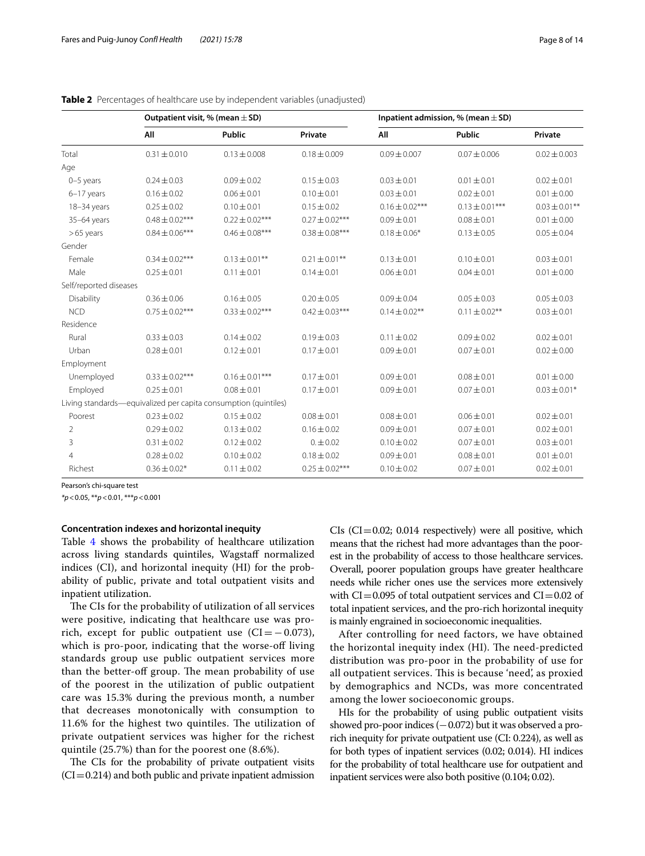|                        | Outpatient visit, % (mean $\pm$ SD)                             |                    |                    | Inpatient admission, % (mean $\pm$ SD) |                    |                    |
|------------------------|-----------------------------------------------------------------|--------------------|--------------------|----------------------------------------|--------------------|--------------------|
|                        | All                                                             | <b>Public</b>      | Private            | All                                    | <b>Public</b>      | Private            |
| Total                  | $0.31 \pm 0.010$                                                | $0.13 \pm 0.008$   | $0.18 \pm 0.009$   | $0.09 \pm 0.007$                       | $0.07 \pm 0.006$   | $0.02 \pm 0.003$   |
| Age                    |                                                                 |                    |                    |                                        |                    |                    |
| 0-5 years              | $0.24 \pm 0.03$                                                 | $0.09 \pm 0.02$    | $0.15 \pm 0.03$    | $0.03 \pm 0.01$                        | $0.01 \pm 0.01$    | $0.02 \pm 0.01$    |
| 6-17 years             | $0.16 \pm 0.02$                                                 | $0.06 \pm 0.01$    | $0.10 \pm 0.01$    | $0.03 \pm 0.01$                        | $0.02 \pm 0.01$    | $0.01 \pm 0.00$    |
| 18-34 years            | $0.25 \pm 0.02$                                                 | $0.10 \pm 0.01$    | $0.15 \pm 0.02$    | $0.16 \pm 0.02***$                     | $0.13 \pm 0.01***$ | $0.03 \pm 0.01$ ** |
| 35-64 years            | $0.48 \pm 0.02***$                                              | $0.22 \pm 0.02***$ | $0.27 \pm 0.02***$ | $0.09 \pm 0.01$                        | $0.08 \pm 0.01$    | $0.01 \pm 0.00$    |
| $>65$ years            | $0.84 \pm 0.06***$                                              | $0.46 \pm 0.08***$ | $0.38 \pm 0.08***$ | $0.18 \pm 0.06*$                       | $0.13 \pm 0.05$    | $0.05 \pm 0.04$    |
| Gender                 |                                                                 |                    |                    |                                        |                    |                    |
| Female                 | $0.34 \pm 0.02***$                                              | $0.13 \pm 0.01$ ** | $0.21 \pm 0.01$ ** | $0.13 \pm 0.01$                        | $0.10 \pm 0.01$    | $0.03 \pm 0.01$    |
| Male                   | $0.25 \pm 0.01$                                                 | $0.11 \pm 0.01$    | $0.14 \pm 0.01$    | $0.06 \pm 0.01$                        | $0.04 \pm 0.01$    | $0.01 \pm 0.00$    |
| Self/reported diseases |                                                                 |                    |                    |                                        |                    |                    |
| Disability             | $0.36 \pm 0.06$                                                 | $0.16 \pm 0.05$    | $0.20 \pm 0.05$    | $0.09 \pm 0.04$                        | $0.05 \pm 0.03$    | $0.05 \pm 0.03$    |
| <b>NCD</b>             | $0.75 \pm 0.02***$                                              | $0.33 \pm 0.02***$ | $0.42 \pm 0.03***$ | $0.14 \pm 0.02$ **                     | $0.11 \pm 0.02$ ** | $0.03 \pm 0.01$    |
| Residence              |                                                                 |                    |                    |                                        |                    |                    |
| Rural                  | $0.33 \pm 0.03$                                                 | $0.14 \pm 0.02$    | $0.19 \pm 0.03$    | $0.11 \pm 0.02$                        | $0.09 \pm 0.02$    | $0.02 \pm 0.01$    |
| Urban                  | $0.28 \pm 0.01$                                                 | $0.12 \pm 0.01$    | $0.17 \pm 0.01$    | $0.09 \pm 0.01$                        | $0.07 \pm 0.01$    | $0.02 \pm 0.00$    |
| Employment             |                                                                 |                    |                    |                                        |                    |                    |
| Unemployed             | $0.33 \pm 0.02$ ***                                             | $0.16 \pm 0.01***$ | $0.17 \pm 0.01$    | $0.09 \pm 0.01$                        | $0.08 \pm 0.01$    | $0.01 \pm 0.00$    |
| Employed               | $0.25 \pm 0.01$                                                 | $0.08 \pm 0.01$    | $0.17 \pm 0.01$    | $0.09 \pm 0.01$                        | $0.07 \pm 0.01$    | $0.03 \pm 0.01*$   |
|                        | Living standards—equivalized per capita consumption (quintiles) |                    |                    |                                        |                    |                    |
| Poorest                | $0.23 \pm 0.02$                                                 | $0.15 \pm 0.02$    | $0.08 \pm 0.01$    | $0.08 \pm 0.01$                        | $0.06 \pm 0.01$    | $0.02 \pm 0.01$    |
| $\overline{2}$         | $0.29 \pm 0.02$                                                 | $0.13 \pm 0.02$    | $0.16 \pm 0.02$    | $0.09 \pm 0.01$                        | $0.07 \pm 0.01$    | $0.02 \pm 0.01$    |
| 3                      | $0.31 \pm 0.02$                                                 | $0.12 \pm 0.02$    | $0. \pm 0.02$      | $0.10 \pm 0.02$                        | $0.07 \pm 0.01$    | $0.03 \pm 0.01$    |
| $\overline{4}$         | $0.28 \pm 0.02$                                                 | $0.10 \pm 0.02$    | $0.18 \pm 0.02$    | $0.09 \pm 0.01$                        | $0.08 \pm 0.01$    | $0.01 \pm 0.01$    |
| Richest                | $0.36 \pm 0.02*$                                                | $0.11 \pm 0.02$    | $0.25 \pm 0.02***$ | $0.10 \pm 0.02$                        | $0.07 \pm 0.01$    | $0.02 \pm 0.01$    |

<span id="page-7-0"></span>**Table 2** Percentages of healthcare use by independent variables (unadjusted)

Pearson's chi-square test

*\*p*<0.05, \*\**p*<0.01, \*\*\**p*<0.001

#### **Concentration indexes and horizontal inequity**

Table [4](#page-8-1) shows the probability of healthcare utilization across living standards quintiles, Wagstaff normalized indices (CI), and horizontal inequity (HI) for the probability of public, private and total outpatient visits and inpatient utilization.

The CIs for the probability of utilization of all services were positive, indicating that healthcare use was prorich, except for public outpatient use  $(Cl=-0.073)$ , which is pro-poor, indicating that the worse-off living standards group use public outpatient services more than the better-off group. The mean probability of use of the poorest in the utilization of public outpatient care was 15.3% during the previous month, a number that decreases monotonically with consumption to 11.6% for the highest two quintiles. The utilization of private outpatient services was higher for the richest quintile (25.7%) than for the poorest one (8.6%).

The CIs for the probability of private outpatient visits  $(CI=0.214)$  and both public and private inpatient admission  $CIs (CI = 0.02; 0.014 respectively)$  were all positive, which means that the richest had more advantages than the poorest in the probability of access to those healthcare services. Overall, poorer population groups have greater healthcare needs while richer ones use the services more extensively with  $CI=0.095$  of total outpatient services and  $CI=0.02$  of total inpatient services, and the pro-rich horizontal inequity is mainly engrained in socioeconomic inequalities.

After controlling for need factors, we have obtained the horizontal inequity index (HI). The need-predicted distribution was pro-poor in the probability of use for all outpatient services. This is because 'need', as proxied by demographics and NCDs, was more concentrated among the lower socioeconomic groups.

HIs for the probability of using public outpatient visits showed pro-poor indices (-0.072) but it was observed a prorich inequity for private outpatient use (CI: 0.224), as well as for both types of inpatient services (0.02; 0.014). HI indices for the probability of total healthcare use for outpatient and inpatient services were also both positive (0.104; 0.02).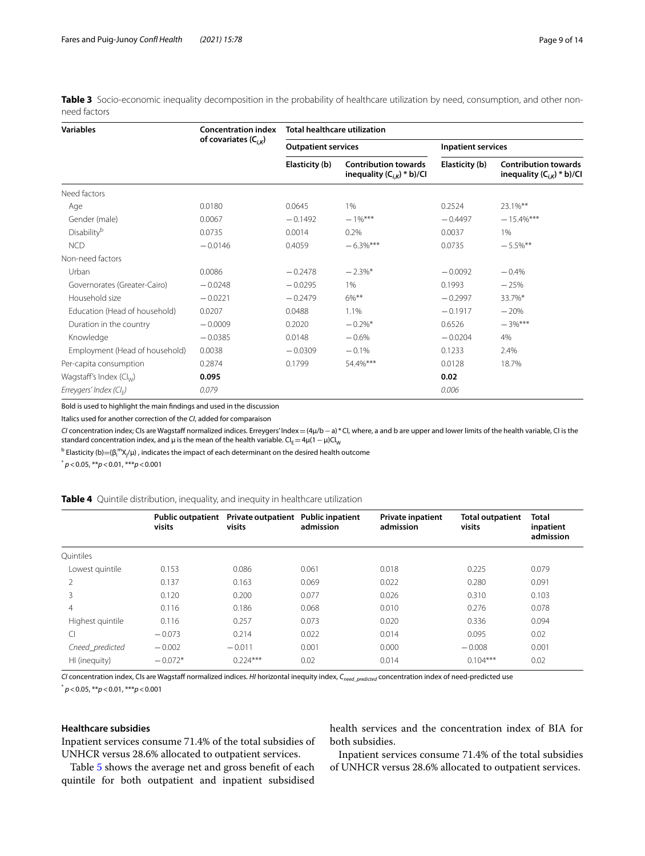<span id="page-8-0"></span>Table 3 Socio-economic inequality decomposition in the probability of healthcare utilization by need, consumption, and other nonneed factors

| <b>Variables</b>               | <b>Concentration index</b> | <b>Total healthcare utilization</b> |                                                               |                           |                                                               |  |
|--------------------------------|----------------------------|-------------------------------------|---------------------------------------------------------------|---------------------------|---------------------------------------------------------------|--|
|                                | of covariates $(C_{i,k})$  | <b>Outpatient services</b>          |                                                               | <b>Inpatient services</b> |                                                               |  |
|                                |                            | Elasticity (b)                      | <b>Contribution towards</b><br>inequality $(C_{i,K})$ * b)/Cl | Elasticity (b)            | <b>Contribution towards</b><br>inequality $(C_{i,k})$ * b)/Cl |  |
| Need factors                   |                            |                                     |                                                               |                           |                                                               |  |
| Age                            | 0.0180                     | 0.0645                              | 1%                                                            | 0.2524                    | 23.1%**                                                       |  |
| Gender (male)                  | 0.0067                     | $-0.1492$                           | $-1\%$ ***                                                    | $-0.4497$                 | $-15.4\%$ ***                                                 |  |
| Disability <sup>b</sup>        | 0.0735                     | 0.0014                              | 0.2%                                                          | 0.0037                    | 1%                                                            |  |
| <b>NCD</b>                     | $-0.0146$                  | 0.4059                              | $-6.3\%$ ***                                                  | 0.0735                    | $-5.5\%$ **                                                   |  |
| Non-need factors               |                            |                                     |                                                               |                           |                                                               |  |
| Urban                          | 0.0086                     | $-0.2478$                           | $-2.3\%$ *                                                    | $-0.0092$                 | $-0.4%$                                                       |  |
| Governorates (Greater-Cairo)   | $-0.0248$                  | $-0.0295$                           | 1%                                                            | 0.1993                    | $-25%$                                                        |  |
| Household size                 | $-0.0221$                  | $-0.2479$                           | 6%**                                                          | $-0.2997$                 | 33.7%*                                                        |  |
| Education (Head of household)  | 0.0207                     | 0.0488                              | 1.1%                                                          | $-0.1917$                 | $-20%$                                                        |  |
| Duration in the country        | $-0.0009$                  | 0.2020                              | $-0.2\%$ *                                                    | 0.6526                    | $-3\%$ ***                                                    |  |
| Knowledge                      | $-0.0385$                  | 0.0148                              | $-0.6%$                                                       | $-0.0204$                 | 4%                                                            |  |
| Employment (Head of household) | 0.0038                     | $-0.0309$                           | $-0.1%$                                                       | 0.1233                    | 2.4%                                                          |  |
| Per-capita consumption         | 0.2874                     | 0.1799                              | 54.4%***                                                      | 0.0128                    | 18.7%                                                         |  |
| Wagstaff's Index $(Cl_{w})$    | 0.095                      |                                     |                                                               | 0.02                      |                                                               |  |
| Erreygers' Index ( $Cl_F$ )    | 0.079                      |                                     |                                                               | 0.006                     |                                                               |  |

Bold is used to highlight the main fndings and used in the discussion

Italics used for another correction of the *CI*, added for comparaison

*CI* concentration index; CIs are Wagstaf normalized indices. Erreygers' Index=(4μ/b−a) \*CI, where, a and b are upper and lower limits of the health variable, CI is the standard concentration index, and  $\mu$  is the mean of the health variable. CI<sub>E</sub>=4 $\mu$ (1 –  $\mu$ )CI<sub>W</sub>

 $^{\rm b}$  Elasticity (b)=(β $_{\rm i}$ m $\chi_{\rm j'}$ μ) , indicates the impact of each determinant on the desired health outcome

\* *p*<0.05, \*\**p*<0.01, \*\*\**p*<0.001

<span id="page-8-1"></span>

|  |  |  |  |  |  | Table 4 Quintile distribution, inequality, and inequity in healthcare utilization |
|--|--|--|--|--|--|-----------------------------------------------------------------------------------|
|--|--|--|--|--|--|-----------------------------------------------------------------------------------|

|                  | <b>Public outpatient</b><br>visits | Private outpatient Public inpatient<br>visits | admission | <b>Private inpatient</b><br>admission | <b>Total outpatient</b><br>visits | <b>Total</b><br>inpatient<br>admission |
|------------------|------------------------------------|-----------------------------------------------|-----------|---------------------------------------|-----------------------------------|----------------------------------------|
| Ouintiles        |                                    |                                               |           |                                       |                                   |                                        |
| Lowest quintile  | 0.153                              | 0.086                                         | 0.061     | 0.018                                 | 0.225                             | 0.079                                  |
| 2                | 0.137                              | 0.163                                         | 0.069     | 0.022                                 | 0.280                             | 0.091                                  |
| 3                | 0.120                              | 0.200                                         | 0.077     | 0.026                                 | 0.310                             | 0.103                                  |
| 4                | 0.116                              | 0.186                                         | 0.068     | 0.010                                 | 0.276                             | 0.078                                  |
| Highest quintile | 0.116                              | 0.257                                         | 0.073     | 0.020                                 | 0.336                             | 0.094                                  |
| C                | $-0.073$                           | 0.214                                         | 0.022     | 0.014                                 | 0.095                             | 0.02                                   |
| Cneed predicted  | $-0.002$                           | $-0.011$                                      | 0.001     | 0.000                                 | $-0.008$                          | 0.001                                  |
| HI (inequity)    | $-0.072*$                          | $0.224***$                                    | 0.02      | 0.014                                 | $0.104***$                        | 0.02                                   |

*CI* concentration index, CIs are Wagstaff normalized indices. *HI* horizontal inequity index, C<sub>need\_predicted</sub> concentration index of need-predicted use \* *p*<0.05, \*\**p*<0.01, \*\*\**p*<0.001

# **Healthcare subsidies**

Inpatient services consume 71.4% of the total subsidies of UNHCR versus 28.6% allocated to outpatient services.

health services and the concentration index of BIA for both subsidies.

Table [5](#page-9-0) shows the average net and gross beneft of each quintile for both outpatient and inpatient subsidised

Inpatient services consume 71.4% of the total subsidies of UNHCR versus 28.6% allocated to outpatient services.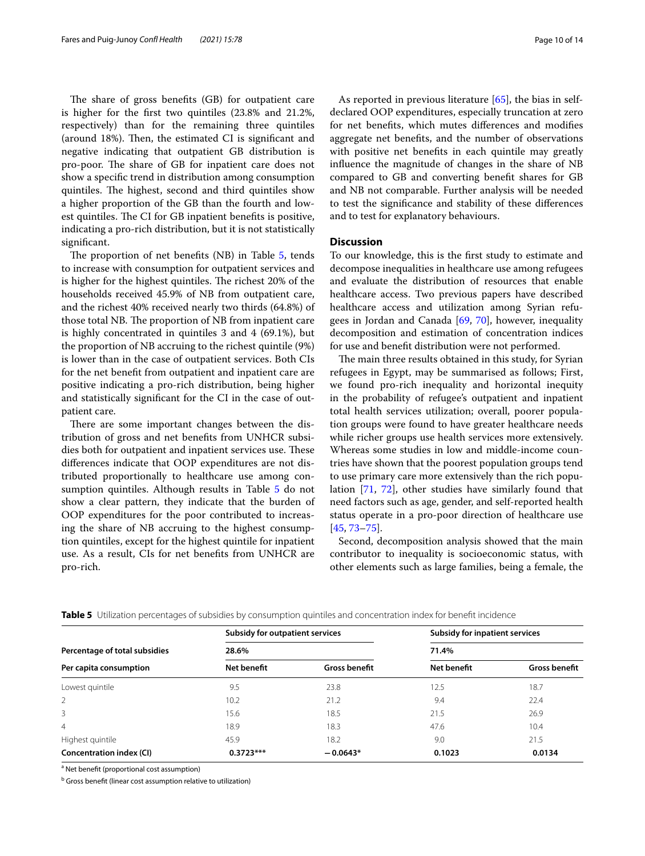The share of gross benefits (GB) for outpatient care is higher for the frst two quintiles (23.8% and 21.2%, respectively) than for the remaining three quintiles (around 18%). Then, the estimated CI is significant and negative indicating that outpatient GB distribution is pro-poor. The share of GB for inpatient care does not show a specifc trend in distribution among consumption quintiles. The highest, second and third quintiles show a higher proportion of the GB than the fourth and lowest quintiles. The CI for GB inpatient benefits is positive, indicating a pro-rich distribution, but it is not statistically significant.

The proportion of net benefits  $(NB)$  in Table [5](#page-9-0), tends to increase with consumption for outpatient services and is higher for the highest quintiles. The richest 20% of the households received 45.9% of NB from outpatient care, and the richest 40% received nearly two thirds (64.8%) of those total NB. The proportion of NB from inpatient care is highly concentrated in quintiles 3 and 4 (69.1%), but the proportion of NB accruing to the richest quintile (9%) is lower than in the case of outpatient services. Both CIs for the net beneft from outpatient and inpatient care are positive indicating a pro-rich distribution, being higher and statistically signifcant for the CI in the case of outpatient care.

There are some important changes between the distribution of gross and net benefts from UNHCR subsidies both for outpatient and inpatient services use. These diferences indicate that OOP expenditures are not distributed proportionally to healthcare use among con-sumption quintiles. Although results in Table [5](#page-9-0) do not show a clear pattern, they indicate that the burden of OOP expenditures for the poor contributed to increasing the share of NB accruing to the highest consumption quintiles, except for the highest quintile for inpatient use. As a result, CIs for net benefts from UNHCR are pro-rich.

As reported in previous literature [\[65](#page-13-9)], the bias in selfdeclared OOP expenditures, especially truncation at zero for net benefts, which mutes diferences and modifes aggregate net benefts, and the number of observations with positive net benefts in each quintile may greatly infuence the magnitude of changes in the share of NB compared to GB and converting beneft shares for GB and NB not comparable. Further analysis will be needed to test the signifcance and stability of these diferences and to test for explanatory behaviours.

# **Discussion**

To our knowledge, this is the frst study to estimate and decompose inequalities in healthcare use among refugees and evaluate the distribution of resources that enable healthcare access. Two previous papers have described healthcare access and utilization among Syrian refugees in Jordan and Canada [[69,](#page-13-10) [70](#page-13-11)], however, inequality decomposition and estimation of concentration indices for use and beneft distribution were not performed.

The main three results obtained in this study, for Syrian refugees in Egypt, may be summarised as follows; First, we found pro-rich inequality and horizontal inequity in the probability of refugee's outpatient and inpatient total health services utilization; overall, poorer population groups were found to have greater healthcare needs while richer groups use health services more extensively. Whereas some studies in low and middle-income countries have shown that the poorest population groups tend to use primary care more extensively than the rich population [[71,](#page-13-12) [72](#page-13-13)], other studies have similarly found that need factors such as age, gender, and self-reported health status operate in a pro-poor direction of healthcare use [[45,](#page-12-33) [73](#page-13-14)[–75\]](#page-13-15).

Second, decomposition analysis showed that the main contributor to inequality is socioeconomic status, with other elements such as large families, being a female, the

|                                 | <b>Subsidy for outpatient services</b> |                      | <b>Subsidy for inpatient services</b><br>71.4% |                      |  |
|---------------------------------|----------------------------------------|----------------------|------------------------------------------------|----------------------|--|
| Percentage of total subsidies   | 28.6%                                  |                      |                                                |                      |  |
| Per capita consumption          | Net benefit                            | <b>Gross benefit</b> | Net benefit                                    | <b>Gross benefit</b> |  |
| Lowest quintile                 | 9.5                                    | 23.8                 | 12.5                                           | 18.7                 |  |
| 2                               | 10.2                                   | 21.2                 | 9.4                                            | 22.4                 |  |
| 3                               | 15.6                                   | 18.5                 | 21.5                                           | 26.9                 |  |
| $\overline{4}$                  | 18.9                                   | 18.3                 | 47.6                                           | 10.4                 |  |
| Highest quintile                | 45.9                                   | 18.2                 | 9.0                                            | 21.5                 |  |
| <b>Concentration index (CI)</b> | $0.3723***$                            | $-0.0643*$           | 0.1023                                         | 0.0134               |  |

<span id="page-9-0"></span>**Table 5** Utilization percentages of subsidies by consumption quintiles and concentration index for benefit incidence

<sup>a</sup> Net benefit (proportional cost assumption)

<sup>b</sup> Gross benefit (linear cost assumption relative to utilization)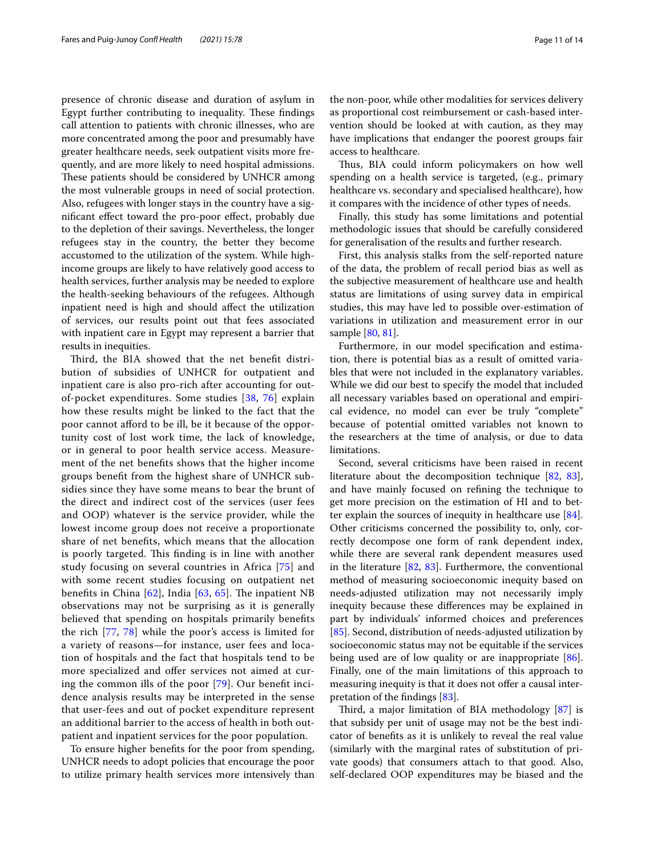presence of chronic disease and duration of asylum in Egypt further contributing to inequality. These findings call attention to patients with chronic illnesses, who are more concentrated among the poor and presumably have greater healthcare needs, seek outpatient visits more frequently, and are more likely to need hospital admissions. These patients should be considered by UNHCR among the most vulnerable groups in need of social protection. Also, refugees with longer stays in the country have a signifcant efect toward the pro-poor efect, probably due to the depletion of their savings. Nevertheless, the longer refugees stay in the country, the better they become accustomed to the utilization of the system. While highincome groups are likely to have relatively good access to health services, further analysis may be needed to explore the health-seeking behaviours of the refugees. Although inpatient need is high and should afect the utilization of services, our results point out that fees associated with inpatient care in Egypt may represent a barrier that results in inequities.

Third, the BIA showed that the net benefit distribution of subsidies of UNHCR for outpatient and inpatient care is also pro-rich after accounting for outof-pocket expenditures. Some studies [\[38,](#page-12-26) [76\]](#page-13-16) explain how these results might be linked to the fact that the poor cannot aford to be ill, be it because of the opportunity cost of lost work time, the lack of knowledge, or in general to poor health service access. Measurement of the net benefts shows that the higher income groups beneft from the highest share of UNHCR subsidies since they have some means to bear the brunt of the direct and indirect cost of the services (user fees and OOP) whatever is the service provider, while the lowest income group does not receive a proportionate share of net benefts, which means that the allocation is poorly targeted. This finding is in line with another study focusing on several countries in Africa [[75](#page-13-15)] and with some recent studies focusing on outpatient net benefits in China  $[62]$  $[62]$  $[62]$ , India  $[63, 65]$  $[63, 65]$  $[63, 65]$  $[63, 65]$ . The inpatient NB observations may not be surprising as it is generally believed that spending on hospitals primarily benefts the rich [[77,](#page-13-18) [78](#page-13-19)] while the poor's access is limited for a variety of reasons—for instance, user fees and location of hospitals and the fact that hospitals tend to be more specialized and offer services not aimed at curing the common ills of the poor [[79\]](#page-13-20). Our beneft incidence analysis results may be interpreted in the sense that user-fees and out of pocket expenditure represent an additional barrier to the access of health in both outpatient and inpatient services for the poor population.

To ensure higher benefts for the poor from spending, UNHCR needs to adopt policies that encourage the poor to utilize primary health services more intensively than the non-poor, while other modalities for services delivery as proportional cost reimbursement or cash-based intervention should be looked at with caution, as they may have implications that endanger the poorest groups fair access to healthcare.

Thus, BIA could inform policymakers on how well spending on a health service is targeted, (e.g., primary healthcare vs. secondary and specialised healthcare), how it compares with the incidence of other types of needs.

Finally, this study has some limitations and potential methodologic issues that should be carefully considered for generalisation of the results and further research.

First, this analysis stalks from the self-reported nature of the data, the problem of recall period bias as well as the subjective measurement of healthcare use and health status are limitations of using survey data in empirical studies, this may have led to possible over-estimation of variations in utilization and measurement error in our sample [[80,](#page-13-21) [81](#page-13-22)].

Furthermore, in our model specifcation and estimation, there is potential bias as a result of omitted variables that were not included in the explanatory variables. While we did our best to specify the model that included all necessary variables based on operational and empirical evidence, no model can ever be truly "complete" because of potential omitted variables not known to the researchers at the time of analysis, or due to data limitations.

Second, several criticisms have been raised in recent literature about the decomposition technique [[82](#page-13-23), [83](#page-13-24)], and have mainly focused on refning the technique to get more precision on the estimation of HI and to better explain the sources of inequity in healthcare use [\[84](#page-13-25)]. Other criticisms concerned the possibility to, only, correctly decompose one form of rank dependent index, while there are several rank dependent measures used in the literature  $[82, 83]$  $[82, 83]$  $[82, 83]$  $[82, 83]$  $[82, 83]$ . Furthermore, the conventional method of measuring socioeconomic inequity based on needs-adjusted utilization may not necessarily imply inequity because these diferences may be explained in part by individuals' informed choices and preferences [[85\]](#page-13-26). Second, distribution of needs-adjusted utilization by socioeconomic status may not be equitable if the services being used are of low quality or are inappropriate [\[86](#page-13-27)]. Finally, one of the main limitations of this approach to measuring inequity is that it does not offer a causal interpretation of the fndings [[83\]](#page-13-24).

Third, a major limitation of BIA methodology  $[87]$  $[87]$  is that subsidy per unit of usage may not be the best indicator of benefts as it is unlikely to reveal the real value (similarly with the marginal rates of substitution of private goods) that consumers attach to that good. Also, self-declared OOP expenditures may be biased and the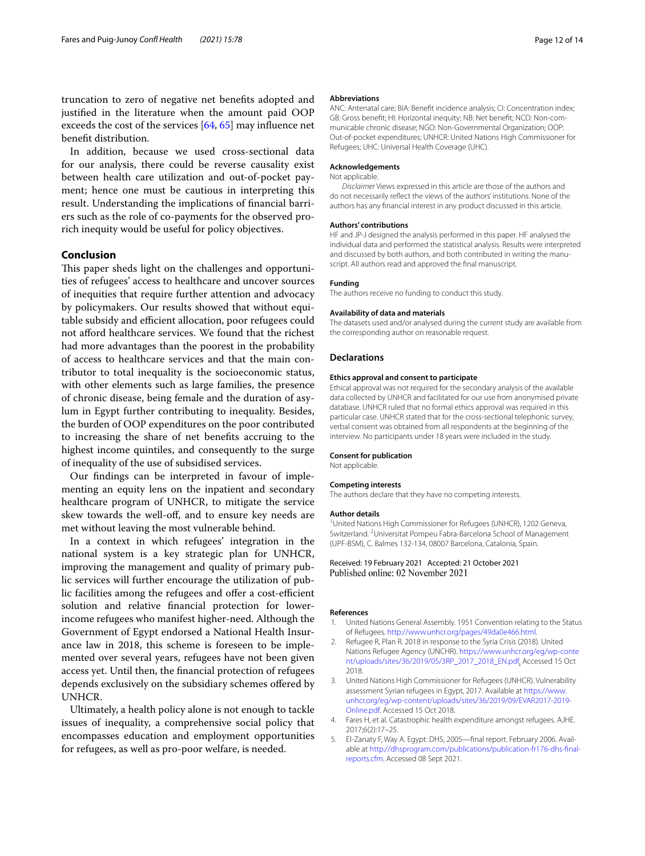truncation to zero of negative net benefts adopted and justifed in the literature when the amount paid OOP exceeds the cost of the services [\[64](#page-13-8), [65\]](#page-13-9) may influence net beneft distribution.

In addition, because we used cross-sectional data for our analysis, there could be reverse causality exist between health care utilization and out-of-pocket payment; hence one must be cautious in interpreting this result. Understanding the implications of fnancial barriers such as the role of co-payments for the observed prorich inequity would be useful for policy objectives.

# **Conclusion**

This paper sheds light on the challenges and opportunities of refugees' access to healthcare and uncover sources of inequities that require further attention and advocacy by policymakers. Our results showed that without equitable subsidy and efficient allocation, poor refugees could not aford healthcare services. We found that the richest had more advantages than the poorest in the probability of access to healthcare services and that the main contributor to total inequality is the socioeconomic status, with other elements such as large families, the presence of chronic disease, being female and the duration of asylum in Egypt further contributing to inequality. Besides, the burden of OOP expenditures on the poor contributed to increasing the share of net benefts accruing to the highest income quintiles, and consequently to the surge of inequality of the use of subsidised services.

Our fndings can be interpreted in favour of implementing an equity lens on the inpatient and secondary healthcare program of UNHCR, to mitigate the service skew towards the well-off, and to ensure key needs are met without leaving the most vulnerable behind.

In a context in which refugees' integration in the national system is a key strategic plan for UNHCR, improving the management and quality of primary public services will further encourage the utilization of public facilities among the refugees and offer a cost-efficient solution and relative fnancial protection for lowerincome refugees who manifest higher-need. Although the Government of Egypt endorsed a National Health Insurance law in 2018, this scheme is foreseen to be implemented over several years, refugees have not been given access yet. Until then, the fnancial protection of refugees depends exclusively on the subsidiary schemes ofered by UNHCR.

Ultimately, a health policy alone is not enough to tackle issues of inequality, a comprehensive social policy that encompasses education and employment opportunities for refugees, as well as pro-poor welfare, is needed.

#### **Abbreviations**

ANC: Antenatal care; BIA: Beneft incidence analysis; CI: Concentration index; GB: Gross benefit; HI: Horizontal inequity; NB: Net benefit; NCD: Non-communicable chronic disease; NGO: Non-Governmental Organization; OOP: Out-of-pocket expenditures; UNHCR: United Nations High Commissioner for Refugees; UHC: Universal Health Coverage (UHC).

#### **Acknowledgements**

#### Not applicable.

*Disclaimer* Views expressed in this article are those of the authors and do not necessarily refect the views of the authors' institutions. None of the authors has any fnancial interest in any product discussed in this article.

#### **Authors' contributions**

HF and JP-J designed the analysis performed in this paper. HF analysed the individual data and performed the statistical analysis. Results were interpreted and discussed by both authors, and both contributed in writing the manuscript. All authors read and approved the fnal manuscript.

#### **Funding**

The authors receive no funding to conduct this study.

#### **Availability of data and materials**

The datasets used and/or analysed during the current study are available from the corresponding author on reasonable request.

#### **Declarations**

#### **Ethics approval and consent to participate**

Ethical approval was not required for the secondary analysis of the available data collected by UNHCR and facilitated for our use from anonymised private database. UNHCR ruled that no formal ethics approval was required in this particular case. UNHCR stated that for the cross-sectional telephonic survey, verbal consent was obtained from all respondents at the beginning of the interview. No participants under 18 years were included in the study.

## **Consent for publication**

Not applicable.

#### **Competing interests**

The authors declare that they have no competing interests.

#### **Author details**

<sup>1</sup> United Nations High Commissioner for Refugees (UNHCR), 1202 Geneva, Switzerland. <sup>2</sup> Universitat Pompeu Fabra-Barcelona School of Management (UPF-BSM), C. Balmes 132‑134, 08007 Barcelona, Catalonia, Spain.

## Received: 19 February 2021 Accepted: 21 October 2021 Published online: 02 November 2021

#### **References**

- <span id="page-11-0"></span>1. United Nations General Assembly. 1951 Convention relating to the Status of Refugees. [http://www.unhcr.org/pages/49da0e466.html.](http://www.unhcr.org/pages/49da0e466.html)
- <span id="page-11-1"></span>2. Refugee R, Plan R. 2018 in response to the Syria Crisis (2018). United Nations Refugee Agency (UNCHR). [https://www.unhcr.org/eg/wp-conte](https://www.unhcr.org/eg/wp-content/uploads/sites/36/2019/05/3RP_2017_2018_EN.pdf) [nt/uploads/sites/36/2019/05/3RP\\_2017\\_2018\\_EN.pdf](https://www.unhcr.org/eg/wp-content/uploads/sites/36/2019/05/3RP_2017_2018_EN.pdf). Accessed 15 Oct 2018.
- <span id="page-11-2"></span>3. United Nations High Commissioner for Refugees (UNHCR). Vulnerability assessment Syrian refugees in Egypt, 2017. Available at [https://www.](https://www.unhcr.org/eg/wp-content/uploads/sites/36/2019/09/EVAR2017-2019-Online.pdf) [unhcr.org/eg/wp-content/uploads/sites/36/2019/09/EVAR2017-2019-](https://www.unhcr.org/eg/wp-content/uploads/sites/36/2019/09/EVAR2017-2019-Online.pdf) [Online.pdf.](https://www.unhcr.org/eg/wp-content/uploads/sites/36/2019/09/EVAR2017-2019-Online.pdf) Accessed 15 Oct 2018.
- <span id="page-11-3"></span>4. Fares H, et al. Catastrophic health expenditure amongst refugees. AJHE. 2017;6(2):17–25.
- <span id="page-11-4"></span>5. El-Zanaty F, Way A. Egypt: DHS, 2005-final report. February 2006. Available at [http://dhsprogram.com/publications/publication-fr176-dhs-fnal](http://dhsprogram.com/publications/publication-fr176-dhs-final-reports.cfm) [reports.cfm.](http://dhsprogram.com/publications/publication-fr176-dhs-final-reports.cfm) Accessed 08 Sept 2021.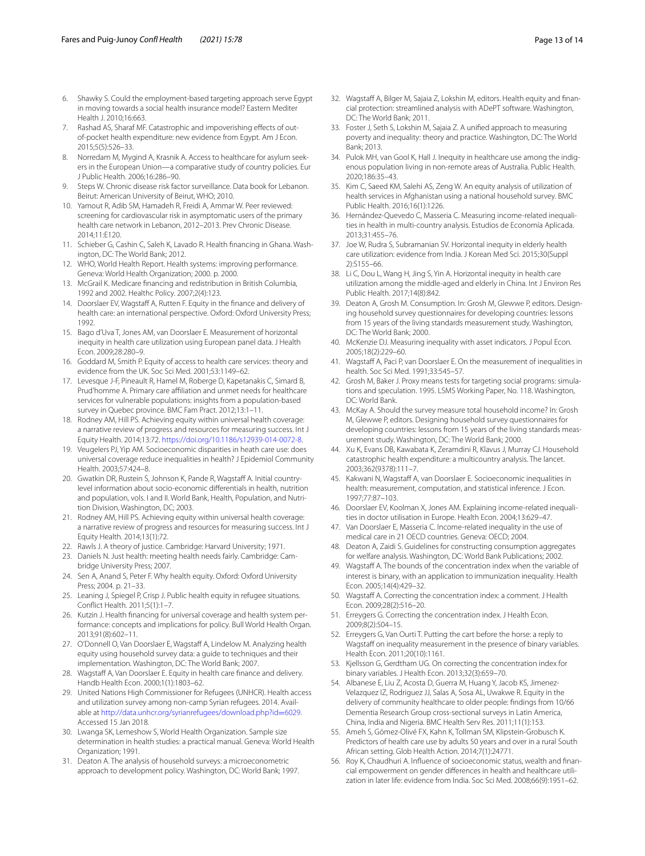- <span id="page-12-0"></span>6. Shawky S. Could the employment-based targeting approach serve Egypt in moving towards a social health insurance model? Eastern Mediter Health J. 2010;16:663.
- <span id="page-12-1"></span>7. Rashad AS, Sharaf MF. Catastrophic and impoverishing effects of outof-pocket health expenditure: new evidence from Egypt. Am J Econ. 2015;5(5):526–33.
- <span id="page-12-2"></span>8. Norredam M, Mygind A, Krasnik A. Access to healthcare for asylum seekers in the European Union—a comparative study of country policies. Eur J Public Health. 2006;16:286–90.
- <span id="page-12-3"></span>9. Steps W. Chronic disease risk factor surveillance. Data book for Lebanon. Beirut: American University of Beirut, WHO; 2010.
- <span id="page-12-4"></span>10. Yamout R, Adib SM, Hamadeh R, Freidi A, Ammar W. Peer reviewed: screening for cardiovascular risk in asymptomatic users of the primary health care network in Lebanon, 2012–2013. Prev Chronic Disease. 2014;11:E120.
- <span id="page-12-5"></span>11. Schieber G, Cashin C, Saleh K, Lavado R. Health financing in Ghana. Washington, DC: The World Bank; 2012.
- <span id="page-12-6"></span>12. WHO, World Health Report. Health systems: improving performance. Geneva: World Health Organization; 2000. p. 2000.
- <span id="page-12-7"></span>13. McGrail K. Medicare fnancing and redistribution in British Columbia, 1992 and 2002. Healthc Policy. 2007;2(4):123.
- <span id="page-12-8"></span>14. Doorslaer EV, Wagstaff A, Rutten F. Equity in the finance and delivery of health care: an international perspective. Oxford: Oxford University Press; 1992.
- <span id="page-12-9"></span>15. Bago d'Uva T, Jones AM, van Doorslaer E. Measurement of horizontal inequity in health care utilization using European panel data. J Health Econ. 2009;28:280–9.
- <span id="page-12-10"></span>16. Goddard M, Smith P. Equity of access to health care services: theory and evidence from the UK. Soc Sci Med. 2001;53:1149–62.
- <span id="page-12-11"></span>17. Levesque J-F, Pineault R, Hamel M, Roberge D, Kapetanakis C, Simard B, Prud'homme A. Primary care afliation and unmet needs for healthcare services for vulnerable populations: insights from a population-based survey in Quebec province. BMC Fam Pract. 2012;13:1–11.
- 18. Rodney AM, Hill PS. Achieving equity within universal health coverage: a narrative review of progress and resources for measuring success. Int J Equity Health. 2014;13:72. [https://doi.org/10.1186/s12939-014-0072-8.](https://doi.org/10.1186/s12939-014-0072-8)
- <span id="page-12-12"></span>19. Veugelers PJ, Yip AM. Socioeconomic disparities in heath care use: does universal coverage reduce inequalities in health? J Epidemiol Community Health. 2003;57:424–8.
- <span id="page-12-13"></span>20. Gwatkin DR, Rustein S, Johnson K, Pande R, Wagstaff A. Initial countrylevel information about socio-economic diferentials in health, nutrition and population, vols. I and II. World Bank, Health, Population, and Nutrition Division, Washington, DC; 2003.
- <span id="page-12-14"></span>21. Rodney AM, Hill PS. Achieving equity within universal health coverage: a narrative review of progress and resources for measuring success. Int J Equity Health. 2014;13(1):72.
- <span id="page-12-15"></span>22. Rawls J. A theory of justice. Cambridge: Harvard University; 1971.
- 23. Daniels N. Just health: meeting health needs fairly. Cambridge: Cambridge University Press; 2007.
- 24. Sen A, Anand S, Peter F. Why health equity. Oxford: Oxford University Press; 2004. p. 21–33.
- <span id="page-12-16"></span>25. Leaning J, Spiegel P, Crisp J. Public health equity in refugee situations. Confict Health. 2011;5(1):1–7.
- <span id="page-12-17"></span>26. Kutzin J. Health financing for universal coverage and health system performance: concepts and implications for policy. Bull World Health Organ. 2013;91(8):602–11.
- <span id="page-12-18"></span>27. O'Donnell O, Van Doorslaer E, Wagstaff A, Lindelow M. Analyzing health equity using household survey data: a guide to techniques and their implementation. Washington, DC: The World Bank; 2007.
- <span id="page-12-19"></span>28. Wagstaff A, Van Doorslaer E. Equity in health care finance and delivery. Handb Health Econ. 2000;1(1):1803–62.
- <span id="page-12-20"></span>29. United Nations High Commissioner for Refugees (UNHCR). Health access and utilization survey among non-camp Syrian refugees. 2014. Available at [http://data.unhcr.org/syrianrefugees/download.php?id](http://data.unhcr.org/syrianrefugees/download.php?id=6029)=6029. Accessed 15 Jan 2018.
- <span id="page-12-21"></span>30. Lwanga SK, Lemeshow S, World Health Organization. Sample size determination in health studies: a practical manual. Geneva: World Health Organization; 1991.
- <span id="page-12-22"></span>31. Deaton A. The analysis of household surveys: a microeconometric approach to development policy. Washington, DC: World Bank; 1997.
- <span id="page-12-23"></span>32. Wagstaff A, Bilger M, Sajaia Z, Lokshin M, editors. Health equity and financial protection: streamlined analysis with ADePT software. Washington, DC: The World Bank; 2011.
- <span id="page-12-24"></span>33. Foster J, Seth S, Lokshin M, Sajaia Z. A unifed approach to measuring poverty and inequality: theory and practice. Washington, DC: The World Bank; 2013.
- <span id="page-12-25"></span>34. Pulok MH, van Gool K, Hall J. Inequity in healthcare use among the indigenous population living in non-remote areas of Australia. Public Health. 2020;186:35–43.
- 35. Kim C, Saeed KM, Salehi AS, Zeng W. An equity analysis of utilization of health services in Afghanistan using a national household survey. BMC Public Health. 2016;16(1):1226.
- <span id="page-12-44"></span>36. Hernández-Quevedo C, Masseria C. Measuring income-related inequalities in health in multi-country analysis. Estudios de Economía Aplicada. 2013;31:455–76.
- 37. Joe W, Rudra S, Subramanian SV. Horizontal inequity in elderly health care utilization: evidence from India. J Korean Med Sci. 2015;30(Suppl 2):S155–66.
- <span id="page-12-26"></span>38. Li C, Dou L, Wang H, Jing S, Yin A. Horizontal inequity in health care utilization among the middle-aged and elderly in China. Int J Environ Res Public Health. 2017;14(8):842.
- <span id="page-12-27"></span>39. Deaton A, Grosh M. Consumption. In: Grosh M, Glewwe P, editors. Designing household survey questionnaires for developing countries: lessons from 15 years of the living standards measurement study. Washington, DC: The World Bank; 2000.
- <span id="page-12-28"></span>40. McKenzie DJ. Measuring inequality with asset indicators. J Popul Econ. 2005;18(2):229–60.
- <span id="page-12-29"></span>41. Wagstaff A, Paci P, van Doorslaer E. On the measurement of inequalities in health. Soc Sci Med. 1991;33:545–57.
- <span id="page-12-30"></span>42. Grosh M, Baker J. Proxy means tests for targeting social programs: simulations and speculation. 1995. LSMS Working Paper, No. 118. Washington, DC: World Bank.
- <span id="page-12-31"></span>43. McKay A. Should the survey measure total household income? In: Grosh M, Glewwe P, editors. Designing household survey questionnaires for developing countries: lessons from 15 years of the living standards measurement study. Washington, DC: The World Bank; 2000.
- <span id="page-12-32"></span>44. Xu K, Evans DB, Kawabata K, Zeramdini R, Klavus J, Murray CJ. Household catastrophic health expenditure: a multicountry analysis. The lancet. 2003;362(9378):111–7.
- <span id="page-12-33"></span>45. Kakwani N, Wagstaff A, van Doorslaer E. Socioeconomic inequalities in health: measurement, computation, and statistical inference. J Econ. 1997;77:87–103.
- <span id="page-12-34"></span>46. Doorslaer EV, Koolman X, Jones AM. Explaining income-related inequalities in doctor utilisation in Europe. Health Econ. 2004;13:629–47.
- 47. Van Doorslaer E, Masseria C. Income-related inequality in the use of medical care in 21 OECD countries. Geneva: OECD; 2004.
- <span id="page-12-35"></span>48. Deaton A, Zaidi S. Guidelines for constructing consumption aggregates for welfare analysis. Washington, DC: World Bank Publications; 2002.
- <span id="page-12-36"></span>49. Wagstaff A. The bounds of the concentration index when the variable of interest is binary, with an application to immunization inequality. Health Econ. 2005;14(4):429–32.
- <span id="page-12-38"></span>50. Wagstaf A. Correcting the concentration index: a comment. J Health Econ. 2009;28(2):516–20.
- <span id="page-12-37"></span>51. Erreygers G. Correcting the concentration index. J Health Econ. 2009;8(2):504–15.
- <span id="page-12-39"></span>52. Erreygers G, Van Ourti T. Putting the cart before the horse: a reply to Wagstaff on inequality measurement in the presence of binary variables. Health Econ. 2011;20(10):1161.
- <span id="page-12-40"></span>53. Kjellsson G, Gerdtham UG. On correcting the concentration index for binary variables. J Health Econ. 2013;32(3):659–70.
- <span id="page-12-41"></span>54. Albanese E, Liu Z, Acosta D, Guerra M, Huang Y, Jacob KS, Jimenez-Velazquez IZ, Rodriguez JJ, Salas A, Sosa AL, Uwakwe R. Equity in the delivery of community healthcare to older people: fndings from 10/66 Dementia Research Group cross-sectional surveys in Latin America, China, India and Nigeria. BMC Health Serv Res. 2011;11(1):153.
- <span id="page-12-42"></span>55. Ameh S, Gómez-Olivé FX, Kahn K, Tollman SM, Klipstein-Grobusch K. Predictors of health care use by adults 50 years and over in a rural South African setting. Glob Health Action. 2014;7(1):24771.
- <span id="page-12-43"></span>56. Roy K, Chaudhuri A. Influence of socioeconomic status, wealth and financial empowerment on gender differences in health and healthcare utilization in later life: evidence from India. Soc Sci Med. 2008;66(9):1951–62.